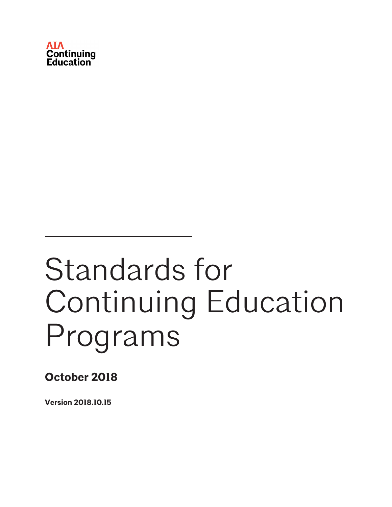

## Standards for Continuing Education Programs

**October 2018**

**Version 2018.10.15**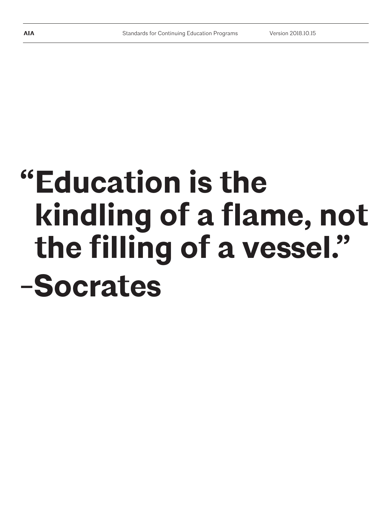# **"Education is the kindling of a flame, not the filling of a vessel." -Socrates**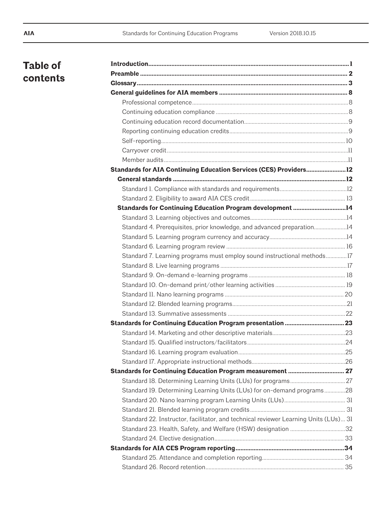## **Table of contents**

| Standards for AIA Continuing Education Services (CES) Providers12                    |  |
|--------------------------------------------------------------------------------------|--|
|                                                                                      |  |
|                                                                                      |  |
|                                                                                      |  |
| Standards for Continuing Education Program development 14                            |  |
|                                                                                      |  |
| Standard 4. Prerequisites, prior knowledge, and advanced preparation14               |  |
|                                                                                      |  |
|                                                                                      |  |
| Standard 7. Learning programs must employ sound instructional methods17              |  |
|                                                                                      |  |
|                                                                                      |  |
|                                                                                      |  |
|                                                                                      |  |
|                                                                                      |  |
|                                                                                      |  |
|                                                                                      |  |
|                                                                                      |  |
|                                                                                      |  |
|                                                                                      |  |
|                                                                                      |  |
|                                                                                      |  |
|                                                                                      |  |
| Standard 19. Determining Learning Units (LUs) for on-demand programs28               |  |
|                                                                                      |  |
|                                                                                      |  |
| Standard 22. Instructor, facilitator, and technical reviewer Learning Units (LUs) 31 |  |
|                                                                                      |  |
|                                                                                      |  |
|                                                                                      |  |
|                                                                                      |  |
|                                                                                      |  |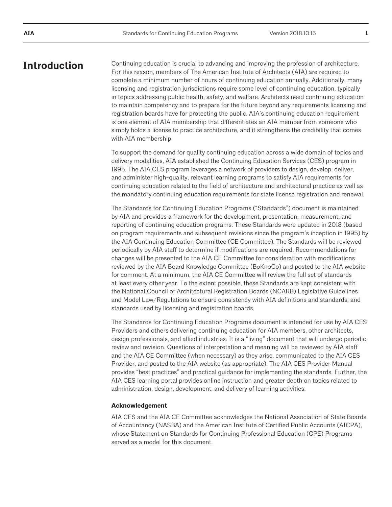## **Introduction**

Continuing education is crucial to advancing and improving the profession of architecture. For this reason, members of The American Institute of Architects (AIA) are required to complete a minimum number of hours of continuing education annually. Additionally, many licensing and registration jurisdictions require some level of continuing education, typically in topics addressing public health, safety, and welfare. Architects need continuing education to maintain competency and to prepare for the future beyond any requirements licensing and registration boards have for protecting the public. AIA's continuing education requirement is one element of AIA membership that differentiates an AIA member from someone who simply holds a license to practice architecture, and it strengthens the credibility that comes with AIA membership.

To support the demand for quality continuing education across a wide domain of topics and delivery modalities, AIA established the Continuing Education Services (CES) program in 1995. The AIA CES program leverages a network of providers to design, develop, deliver, and administer high-quality, relevant learning programs to satisfy AIA requirements for continuing education related to the field of architecture and architectural practice as well as the mandatory continuing education requirements for state license registration and renewal.

The Standards for Continuing Education Programs ("Standards") document is maintained by AIA and provides a framework for the development, presentation, measurement, and reporting of continuing education programs. These Standards were updated in 2018 (based on program requirements and subsequent revisions since the program's inception in 1995) by the AIA Continuing Education Committee (CE Committee). The Standards will be reviewed periodically by AIA staff to determine if modifications are required. Recommendations for changes will be presented to the AIA CE Committee for consideration with modifications reviewed by the AIA Board Knowledge Committee (BoKnoCo) and posted to the AIA website for comment. At a minimum, the AIA CE Committee will review the full set of standards at least every other year. To the extent possible, these Standards are kept consistent with the National Council of Architectural Registration Boards (NCARB) Legislative Guidelines and Model Law/Regulations to ensure consistency with AIA definitions and standards, and standards used by licensing and registration boards.

The Standards for Continuing Education Programs document is intended for use by AIA CES Providers and others delivering continuing education for AIA members, other architects, design professionals, and allied industries. It is a "living" document that will undergo periodic review and revision. Questions of interpretation and meaning will be reviewed by AIA staff and the AIA CE Committee (when necessary) as they arise, communicated to the AIA CES Provider, and posted to the AIA website (as appropriate). The AIA CES Provider Manual provides "best practices" and practical guidance for implementing the standards. Further, the AIA CES learning portal provides online instruction and greater depth on topics related to administration, design, development, and delivery of learning activities.

#### **Acknowledgement**

AIA CES and the AIA CE Committee acknowledges the National Association of State Boards of Accountancy (NASBA) and the American Institute of Certified Public Accounts (AICPA), whose Statement on Standards for Continuing Professional Education (CPE) Programs served as a model for this document.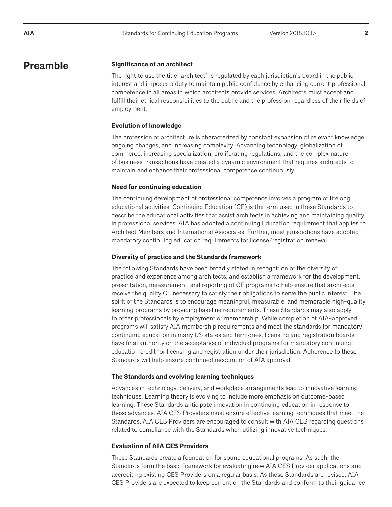### **Preamble**

#### **Significance of an architect**

The right to use the title "architect" is regulated by each jurisdiction's board in the public interest and imposes a duty to maintain public confidence by enhancing current professional competence in all areas in which architects provide services. Architects must accept and fulfill their ethical responsibilities to the public and the profession regardless of their fields of employment.

#### **Evolution of knowledge**

The profession of architecture is characterized by constant expansion of relevant knowledge, ongoing changes, and increasing complexity. Advancing technology, globalization of commerce, increasing specialization, proliferating regulations, and the complex nature of business transactions have created a dynamic environment that requires architects to maintain and enhance their professional competence continuously.

#### **Need for continuing education**

The continuing development of professional competence involves a program of lifelong educational activities. Continuing Education (CE) is the term used in these Standards to describe the educational activities that assist architects in achieving and maintaining quality in professional services. AIA has adopted a continuing Education requirement that applies to Architect Members and International Associates. Further, most jurisdictions have adopted mandatory continuing education requirements for license/registration renewal.

#### **Diversity of practice and the Standards framework**

The following Standards have been broadly stated in recognition of the diversity of practice and experience among architects, and establish a framework for the development, presentation, measurement, and reporting of CE programs to help ensure that architects receive the quality CE necessary to satisfy their obligations to serve the public interest. The spirit of the Standards is to encourage meaningful, measurable, and memorable high-quality learning programs by providing baseline requirements. These Standards may also apply to other professionals by employment or membership. While completion of AIA-approved programs will satisfy AIA membership requirements and meet the standards for mandatory continuing education in many US states and territories, licensing and registration boards have final authority on the acceptance of individual programs for mandatory continuing education credit for licensing and registration under their jurisdiction. Adherence to these Standards will help ensure continued recognition of AIA approval.

#### **The Standards and evolving learning techniques**

Advances in technology, delivery, and workplace arrangements lead to innovative learning techniques. Learning theory is evolving to include more emphasis on outcome-based learning. These Standards anticipate innovation in continuing education in response to these advances. AIA CES Providers must ensure effective learning techniques that meet the Standards. AIA CES Providers are encouraged to consult with AIA CES regarding questions related to compliance with the Standards when utilizing innovative techniques.

#### **Evaluation of AIA CES Providers**

These Standards create a foundation for sound educational programs. As such, the Standards form the basic framework for evaluating new AIA CES Provider applications and accrediting existing CES Providers on a regular basis. As these Standards are revised, AIA CES Providers are expected to keep current on the Standards and conform to their guidance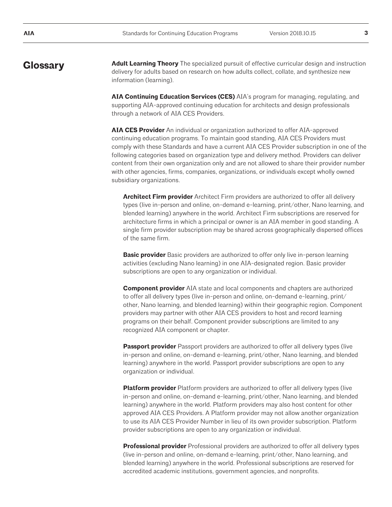**Glossary Adult Learning Theory** The specialized pursuit of effective curricular design and instruction delivery for adults based on research on how adults collect, collate, and synthesize new information (learning).

> **AIA Continuing Education Services (CES)** AIA's program for managing, regulating, and supporting AIA-approved continuing education for architects and design professionals through a network of AIA CES Providers.

**AIA CES Provider** An individual or organization authorized to offer AIA-approved continuing education programs. To maintain good standing, AIA CES Providers must comply with these Standards and have a current AIA CES Provider subscription in one of the following categories based on organization type and delivery method. Providers can deliver content from their own organization only and are not allowed to share their provider number with other agencies, firms, companies, organizations, or individuals except wholly owned subsidiary organizations.

**Architect Firm provider** Architect Firm providers are authorized to offer all delivery types (live in-person and online, on-demand e-learning, print/other, Nano learning, and blended learning) anywhere in the world. Architect Firm subscriptions are reserved for architecture firms in which a principal or owner is an AIA member in good standing. A single firm provider subscription may be shared across geographically dispersed offices of the same firm.

**Basic provider** Basic providers are authorized to offer only live in-person learning activities (excluding Nano learning) in one AIA-designated region. Basic provider subscriptions are open to any organization or individual.

**Component provider** AIA state and local components and chapters are authorized to offer all delivery types (live in-person and online, on-demand e-learning, print/ other, Nano learning, and blended learning) within their geographic region. Component providers may partner with other AIA CES providers to host and record learning programs on their behalf. Component provider subscriptions are limited to any recognized AIA component or chapter.

**Passport provider** Passport providers are authorized to offer all delivery types (live in-person and online, on-demand e-learning, print/other, Nano learning, and blended learning) anywhere in the world. Passport provider subscriptions are open to any organization or individual.

**Platform provider** Platform providers are authorized to offer all delivery types (live in-person and online, on-demand e-learning, print/other, Nano learning, and blended learning) anywhere in the world. Platform providers may also host content for other approved AIA CES Providers. A Platform provider may not allow another organization to use its AIA CES Provider Number in lieu of its own provider subscription. Platform provider subscriptions are open to any organization or individual.

**Professional provider** Professional providers are authorized to offer all delivery types (live in-person and online, on-demand e-learning, print/other, Nano learning, and blended learning) anywhere in the world. Professional subscriptions are reserved for accredited academic institutions, government agencies, and nonprofits.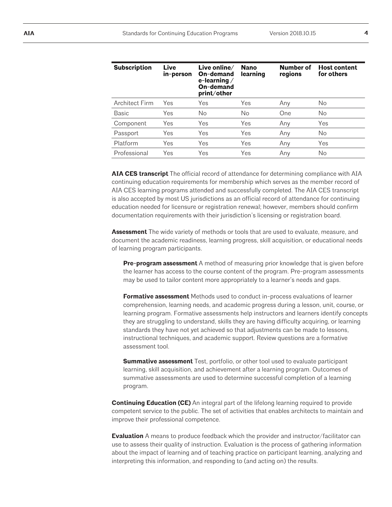| <b>Subscription</b>   | <b>Live</b><br>in-person | Live online $\angle$<br>On-demand<br>e-learning $/$<br>On-demand<br>print/other | <b>Nano</b><br>learning | Number of<br>regions | <b>Host content</b><br>for others |
|-----------------------|--------------------------|---------------------------------------------------------------------------------|-------------------------|----------------------|-----------------------------------|
| <b>Architect Firm</b> | Yes                      | Yes                                                                             | Yes                     | Any                  | No                                |
| <b>Basic</b>          | Yes                      | No                                                                              | No                      | One                  | No                                |
| Component             | Yes                      | Yes                                                                             | Yes                     | Any                  | Yes                               |
| Passport              | Yes                      | Yes                                                                             | Yes                     | Any                  | No                                |
| Platform              | Yes                      | Yes                                                                             | Yes                     | Any                  | Yes                               |
| Professional          | Yes                      | Yes                                                                             | Yes                     | Any                  | No                                |

**AIA CES transcript** The official record of attendance for determining compliance with AIA continuing education requirements for membership which serves as the member record of AIA CES learning programs attended and successfully completed. The AIA CES transcript is also accepted by most US jurisdictions as an official record of attendance for continuing education needed for licensure or registration renewal; however, members should confirm documentation requirements with their jurisdiction's licensing or registration board.

**Assessment** The wide variety of methods or tools that are used to evaluate, measure, and document the academic readiness, learning progress, skill acquisition, or educational needs of learning program participants.

**Pre-program assessment** A method of measuring prior knowledge that is given before the learner has access to the course content of the program. Pre-program assessments may be used to tailor content more appropriately to a learner's needs and gaps.

**Formative assessment** Methods used to conduct in-process evaluations of learner comprehension, learning needs, and academic progress during a lesson, unit, course, or learning program. Formative assessments help instructors and learners identify concepts they are struggling to understand, skills they are having difficulty acquiring, or learning standards they have not yet achieved so that adjustments can be made to lessons, instructional techniques, and academic support. Review questions are a formative assessment tool.

**Summative assessment** Test, portfolio, or other tool used to evaluate participant learning, skill acquisition, and achievement after a learning program. Outcomes of summative assessments are used to determine successful completion of a learning program.

**Continuing Education (CE)** An integral part of the lifelong learning required to provide competent service to the public. The set of activities that enables architects to maintain and improve their professional competence.

**Evaluation** A means to produce feedback which the provider and instructor/facilitator can use to assess their quality of instruction. Evaluation is the process of gathering information about the impact of learning and of teaching practice on participant learning, analyzing and interpreting this information, and responding to (and acting on) the results.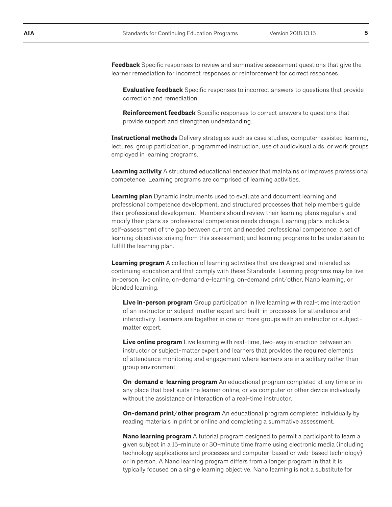**Feedback** Specific responses to review and summative assessment questions that give the learner remediation for incorrect responses or reinforcement for correct responses.

**Evaluative feedback** Specific responses to incorrect answers to questions that provide correction and remediation.

**Reinforcement feedback** Specific responses to correct answers to questions that provide support and strengthen understanding.

**Instructional methods** Delivery strategies such as case studies, computer-assisted learning, lectures, group participation, programmed instruction, use of audiovisual aids, or work groups employed in learning programs.

**Learning activity** A structured educational endeavor that maintains or improves professional competence. Learning programs are comprised of learning activities.

**Learning plan** Dynamic instruments used to evaluate and document learning and professional competence development, and structured processes that help members guide their professional development. Members should review their learning plans regularly and modify their plans as professional competence needs change. Learning plans include a self-assessment of the gap between current and needed professional competence; a set of learning objectives arising from this assessment; and learning programs to be undertaken to fulfill the learning plan.

**Learning program** A collection of learning activities that are designed and intended as continuing education and that comply with these Standards. Learning programs may be live in-person, live online, on-demand e-learning, on-demand print/other, Nano learning, or blended learning.

**Live in-person program** Group participation in live learning with real-time interaction of an instructor or subject-matter expert and built-in processes for attendance and interactivity. Learners are together in one or more groups with an instructor or subjectmatter expert.

**Live online program** Live learning with real-time, two-way interaction between an instructor or subject-matter expert and learners that provides the required elements of attendance monitoring and engagement where learners are in a solitary rather than group environment.

**On-demand e-learning program** An educational program completed at any time or in any place that best suits the learner online, or via computer or other device individually without the assistance or interaction of a real-time instructor.

**On-demand print/other program** An educational program completed individually by reading materials in print or online and completing a summative assessment.

**Nano learning program** A tutorial program designed to permit a participant to learn a given subject in a 15-minute or 30-minute time frame using electronic media (including technology applications and processes and computer-based or web-based technology) or in person. A Nano learning program differs from a longer program in that it is typically focused on a single learning objective. Nano learning is not a substitute for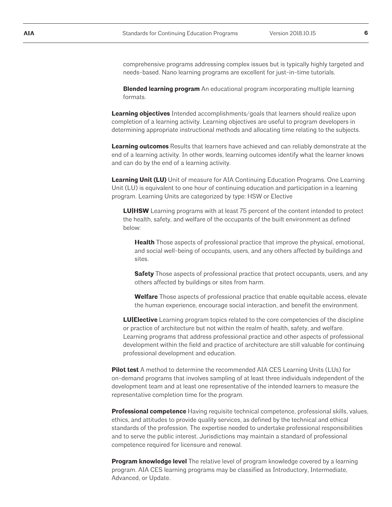comprehensive programs addressing complex issues but is typically highly targeted and needs-based. Nano learning programs are excellent for just-in-time tutorials.

**Blended learning program** An educational program incorporating multiple learning formats.

**Learning objectives** Intended accomplishments/goals that learners should realize upon completion of a learning activity. Learning objectives are useful to program developers in determining appropriate instructional methods and allocating time relating to the subjects.

**Learning outcomes** Results that learners have achieved and can reliably demonstrate at the end of a learning activity. In other words, learning outcomes identify what the learner knows and can do by the end of a learning activity.

**Learning Unit (LU)** Unit of measure for AIA Continuing Education Programs. One Learning Unit (LU) is equivalent to one hour of continuing education and participation in a learning program. Learning Units are categorized by type: HSW or Elective

**LU|HSW** Learning programs with at least 75 percent of the content intended to protect the health, safety, and welfare of the occupants of the built environment as defined below:

**Health** Those aspects of professional practice that improve the physical, emotional, and social well-being of occupants, users, and any others affected by buildings and sites.

**Safety** Those aspects of professional practice that protect occupants, users, and any others affected by buildings or sites from harm.

**Welfare** Those aspects of professional practice that enable equitable access, elevate the human experience, encourage social interaction, and benefit the environment.

**LU|Elective** Learning program topics related to the core competencies of the discipline or practice of architecture but not within the realm of health, safety, and welfare. Learning programs that address professional practice and other aspects of professional development within the field and practice of architecture are still valuable for continuing professional development and education.

**Pilot test** A method to determine the recommended AIA CES Learning Units (LUs) for on-demand programs that involves sampling of at least three individuals independent of the development team and at least one representative of the intended learners to measure the representative completion time for the program.

**Professional competence** Having requisite technical competence, professional skills, values, ethics, and attitudes to provide quality services, as defined by the technical and ethical standards of the profession. The expertise needed to undertake professional responsibilities and to serve the public interest. Jurisdictions may maintain a standard of professional competence required for licensure and renewal.

**Program knowledge level** The relative level of program knowledge covered by a learning program. AIA CES learning programs may be classified as Introductory, Intermediate, Advanced, or Update.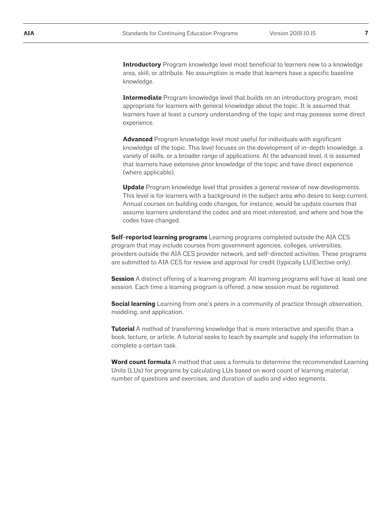**Introductory** Program knowledge level most beneficial to learners new to a knowledge area, skill, or attribute. No assumption is made that learners have a specific baseline knowledge.

**Intermediate** Program knowledge level that builds on an introductory program, most appropriate for learners with general knowledge about the topic. It is assumed that learners have at least a cursory understanding of the topic and may possess some direct experience.

**Advanced** Program knowledge level most useful for individuals with significant knowledge of the topic. This level focuses on the development of in-depth knowledge, a variety of skills, or a broader range of applications. At the advanced level, it is assumed that learners have extensive prior knowledge of the topic and have direct experience (where applicable).

**Update** Program knowledge level that provides a general review of new developments. This level is for learners with a background in the subject area who desire to keep current. Annual courses on building code changes, for instance, would be update courses that assume learners understand the codes and are most interested, and where and how the codes have changed.

**Self-reported learning programs** Learning programs completed outside the AIA CES program that may include courses from government agencies, colleges, universities, providers outside the AIA CES provider network, and self-directed activities. These programs are submitted to AIA CES for review and approval for credit (typically LU|Elective only).

**Session** A distinct offering of a learning program. All learning programs will have at least one session. Each time a learning program is offered, a new session must be registered.

**Social learning** Learning from one's peers in a community of practice through observation, modeling, and application.

**Tutorial** A method of transferring knowledge that is more interactive and specific than a book, lecture, or article. A tutorial seeks to teach by example and supply the information to complete a certain task.

**Word count formula** A method that uses a formula to determine the recommended Learning Units (LUs) for programs by calculating LUs based on word count of learning material, number of questions and exercises, and duration of audio and video segments.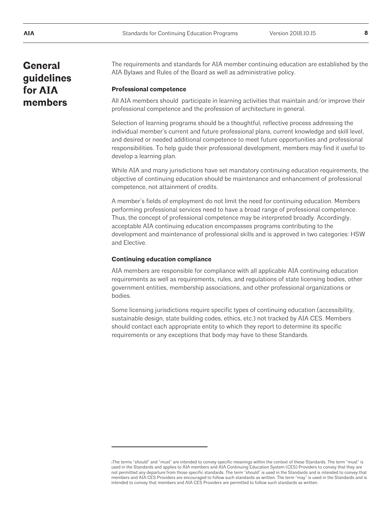## **General guidelines for AIA members**

The requirements and standards for AIA member continuing education are established by the AIA Bylaws and Rules of the Board as well as administrative policy.

#### **Professional competence**

All AIA members should participate in learning activities that maintain and/or improve their professional competence and the profession of architecture in general.

Selection of learning programs should be a thoughtful, reflective process addressing the individual member's current and future professional plans, current knowledge and skill level, and desired or needed additional competence to meet future opportunities and professional responsibilities. To help guide their professional development, members may find it useful to develop a learning plan.

While AIA and many jurisdictions have set mandatory continuing education requirements, the objective of continuing education should be maintenance and enhancement of professional competence, not attainment of credits.

A member's fields of employment do not limit the need for continuing education. Members performing professional services need to have a broad range of professional competence. Thus, the concept of professional competence may be interpreted broadly. Accordingly, acceptable AIA continuing education encompasses programs contributing to the development and maintenance of professional skills and is approved in two categories: HSW and Elective.

#### **Continuing education compliance**

AIA members are responsible for compliance with all applicable AIA continuing education requirements as well as requirements, rules, and regulations of state licensing bodies, other government entities, membership associations, and other professional organizations or bodies.

Some licensing jurisdictions require specific types of continuing education (accessibility, sustainable design, state building codes, ethics, etc.) not tracked by AIA CES. Members should contact each appropriate entity to which they report to determine its specific requirements or any exceptions that body may have to these Standards.

iThe terms "should" and "must" are intended to convey specific meanings within the context of these Standards. The term "must" is<br>used in the Standards and applies to AIA members and AIA Continuing Education System (CES) not permitted any departure from those specific standards. The term "should" is used in the Standards and is intended to convey that members and AIA CES Providers are encouraged to follow such standards as written. The term "may" is used in the Standards and is intended to convey that members and AIA CES Providers are permitted to follow such standards as written.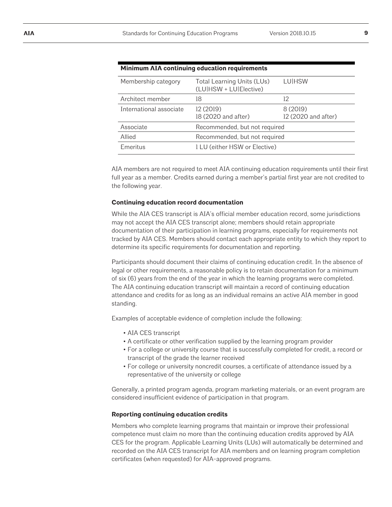| Minimum AIA continuing education requirements        |                                 |  |  |  |  |
|------------------------------------------------------|---------------------------------|--|--|--|--|
| Total Learning Units (LUs)<br>(LU HSW + LU Elective) | <b>LUIHSW</b>                   |  |  |  |  |
| 18                                                   | 12                              |  |  |  |  |
| 12 (2019)<br>18 (2020 and after)                     | 8 (2019)<br>12 (2020 and after) |  |  |  |  |
|                                                      |                                 |  |  |  |  |
| Recommended, but not required                        |                                 |  |  |  |  |
| 1 LU (either HSW or Elective)                        |                                 |  |  |  |  |
|                                                      | Recommended, but not required   |  |  |  |  |

AIA members are not required to meet AIA continuing education requirements until their first full year as a member. Credits earned during a member's partial first year are not credited to the following year.

#### **Continuing education record documentation**

While the AIA CES transcript is AIA's official member education record, some jurisdictions may not accept the AIA CES transcript alone; members should retain appropriate documentation of their participation in learning programs, especially for requirements not tracked by AIA CES. Members should contact each appropriate entity to which they report to determine its specific requirements for documentation and reporting.

Participants should document their claims of continuing education credit. In the absence of legal or other requirements, a reasonable policy is to retain documentation for a minimum of six (6) years from the end of the year in which the learning programs were completed. The AIA continuing education transcript will maintain a record of continuing education attendance and credits for as long as an individual remains an active AIA member in good standing.

Examples of acceptable evidence of completion include the following:

- AIA CES transcript
- A certificate or other verification supplied by the learning program provider
- For a college or university course that is successfully completed for credit, a record or transcript of the grade the learner received
- For college or university noncredit courses, a certificate of attendance issued by a representative of the university or college

Generally, a printed program agenda, program marketing materials, or an event program are considered insufficient evidence of participation in that program.

#### **Reporting continuing education credits**

Members who complete learning programs that maintain or improve their professional competence must claim no more than the continuing education credits approved by AIA CES for the program. Applicable Learning Units (LUs) will automatically be determined and recorded on the AIA CES transcript for AIA members and on learning program completion certificates (when requested) for AIA-approved programs.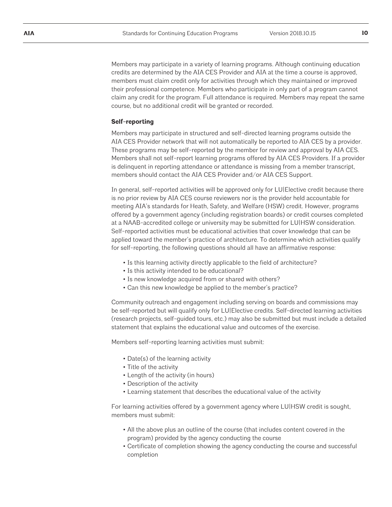Members may participate in a variety of learning programs. Although continuing education credits are determined by the AIA CES Provider and AIA at the time a course is approved, members must claim credit only for activities through which they maintained or improved their professional competence. Members who participate in only part of a program cannot claim any credit for the program. Full attendance is required. Members may repeat the same course, but no additional credit will be granted or recorded.

#### **Self-reporting**

Members may participate in structured and self-directed learning programs outside the AIA CES Provider network that will not automatically be reported to AIA CES by a provider. These programs may be self-reported by the member for review and approval by AIA CES. Members shall not self-report learning programs offered by AIA CES Providers. If a provider is delinquent in reporting attendance or attendance is missing from a member transcript, members should contact the AIA CES Provider and/or AIA CES Support.

In general, self-reported activities will be approved only for LU|Elective credit because there is no prior review by AIA CES course reviewers nor is the provider held accountable for meeting AIA's standards for Heath, Safety, and Welfare (HSW) credit. However, programs offered by a government agency (including registration boards) or credit courses completed at a NAAB-accredited college or university may be submitted for LU|HSW consideration. Self-reported activities must be educational activities that cover knowledge that can be applied toward the member's practice of architecture. To determine which activities qualify for self-reporting, the following questions should all have an affirmative response:

- Is this learning activity directly applicable to the field of architecture?
- Is this activity intended to be educational?
- Is new knowledge acquired from or shared with others?
- Can this new knowledge be applied to the member's practice?

Community outreach and engagement including serving on boards and commissions may be self-reported but will qualify only for LU|Elective credits. Self-directed learning activities (research projects, self-guided tours, etc.) may also be submitted but must include a detailed statement that explains the educational value and outcomes of the exercise.

Members self-reporting learning activities must submit:

- Date(s) of the learning activity
- Title of the activity
- Length of the activity (in hours)
- Description of the activity
- Learning statement that describes the educational value of the activity

For learning activities offered by a government agency where LU|HSW credit is sought, members must submit:

- All the above plus an outline of the course (that includes content covered in the program) provided by the agency conducting the course
- Certificate of completion showing the agency conducting the course and successful completion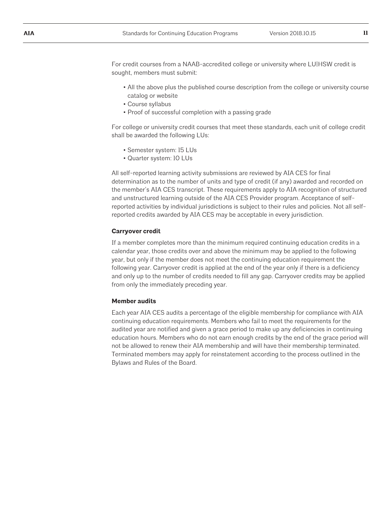For credit courses from a NAAB-accredited college or university where LU|HSW credit is sought, members must submit:

- All the above plus the published course description from the college or university course catalog or website
- Course syllabus
- Proof of successful completion with a passing grade

For college or university credit courses that meet these standards, each unit of college credit shall be awarded the following LUs:

- Semester system: 15 LUs
- Quarter system: 10 LUs

All self-reported learning activity submissions are reviewed by AIA CES for final determination as to the number of units and type of credit (if any) awarded and recorded on the member's AIA CES transcript. These requirements apply to AIA recognition of structured and unstructured learning outside of the AIA CES Provider program. Acceptance of selfreported activities by individual jurisdictions is subject to their rules and policies. Not all selfreported credits awarded by AIA CES may be acceptable in every jurisdiction.

#### **Carryover credit**

If a member completes more than the minimum required continuing education credits in a calendar year, those credits over and above the minimum may be applied to the following year, but only if the member does not meet the continuing education requirement the following year. Carryover credit is applied at the end of the year only if there is a deficiency and only up to the number of credits needed to fill any gap. Carryover credits may be applied from only the immediately preceding year.

#### **Member audits**

Each year AIA CES audits a percentage of the eligible membership for compliance with AIA continuing education requirements. Members who fail to meet the requirements for the audited year are notified and given a grace period to make up any deficiencies in continuing education hours. Members who do not earn enough credits by the end of the grace period will not be allowed to renew their AIA membership and will have their membership terminated. Terminated members may apply for reinstatement according to the process outlined in the Bylaws and Rules of the Board.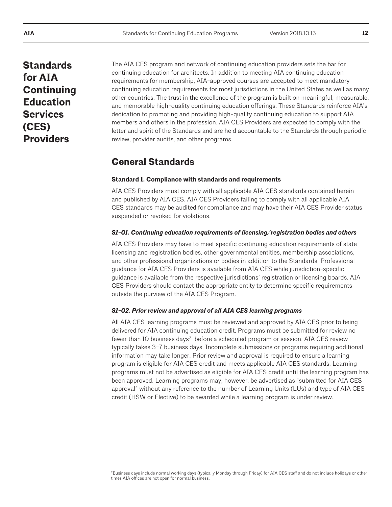## **Standards for AIA Continuing Education Services (CES) Providers**

The AIA CES program and network of continuing education providers sets the bar for continuing education for architects. In addition to meeting AIA continuing education requirements for membership, AIA-approved courses are accepted to meet mandatory continuing education requirements for most jurisdictions in the United States as well as many other countries. The trust in the excellence of the program is built on meaningful, measurable, and memorable high-quality continuing education offerings. These Standards reinforce AIA's dedication to promoting and providing high-quality continuing education to support AIA members and others in the profession. AIA CES Providers are expected to comply with the letter and spirit of the Standards and are held accountable to the Standards through periodic review, provider audits, and other programs.

## **General Standards**

#### **Standard 1. Compliance with standards and requirements**

AIA CES Providers must comply with all applicable AIA CES standards contained herein and published by AIA CES. AIA CES Providers failing to comply with all applicable AIA CES standards may be audited for compliance and may have their AIA CES Provider status suspended or revoked for violations.

#### *S1-01. Continuing education requirements of licensing/registration bodies and others*

AIA CES Providers may have to meet specific continuing education requirements of state licensing and registration bodies, other governmental entities, membership associations, and other professional organizations or bodies in addition to the Standards. Professional guidance for AIA CES Providers is available from AIA CES while jurisdiction-specific guidance is available from the respective jurisdictions' registration or licensing boards. AIA CES Providers should contact the appropriate entity to determine specific requirements outside the purview of the AIA CES Program.

#### *S1-02. Prior review and approval of all AIA CES learning programs*

All AIA CES learning programs must be reviewed and approved by AIA CES prior to being delivered for AIA continuing education credit. Programs must be submitted for review no fewer than 10 business days² before a scheduled program or session. AIA CES review typically takes 3–7 business days. Incomplete submissions or programs requiring additional information may take longer. Prior review and approval is required to ensure a learning program is eligible for AIA CES credit and meets applicable AIA CES standards. Learning programs must not be advertised as eligible for AIA CES credit until the learning program has been approved. Learning programs may, however, be advertised as "submitted for AIA CES approval" without any reference to the number of Learning Units (LUs) and type of AIA CES credit (HSW or Elective) to be awarded while a learning program is under review.

²Business days include normal working days (typically Monday through Friday) for AIA CES staff and do not include holidays or other times AIA offices are not open for normal business.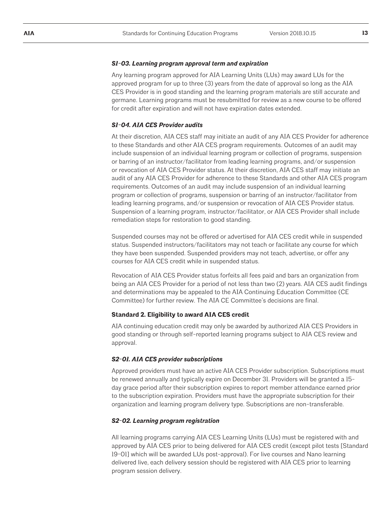#### *S1-03. Learning program approval term and expiration*

Any learning program approved for AIA Learning Units (LUs) may award LUs for the approved program for up to three (3) years from the date of approval so long as the AIA CES Provider is in good standing and the learning program materials are still accurate and germane. Learning programs must be resubmitted for review as a new course to be offered for credit after expiration and will not have expiration dates extended.

#### *S1-04. AIA CES Provider audits*

At their discretion, AIA CES staff may initiate an audit of any AIA CES Provider for adherence to these Standards and other AIA CES program requirements. Outcomes of an audit may include suspension of an individual learning program or collection of programs, suspension or barring of an instructor/facilitator from leading learning programs, and/or suspension or revocation of AIA CES Provider status. At their discretion, AIA CES staff may initiate an audit of any AIA CES Provider for adherence to these Standards and other AIA CES program requirements. Outcomes of an audit may include suspension of an individual learning program or collection of programs, suspension or barring of an instructor/facilitator from leading learning programs, and/or suspension or revocation of AIA CES Provider status. Suspension of a learning program, instructor/facilitator, or AIA CES Provider shall include remediation steps for restoration to good standing.

Suspended courses may not be offered or advertised for AIA CES credit while in suspended status. Suspended instructors/facilitators may not teach or facilitate any course for which they have been suspended. Suspended providers may not teach, advertise, or offer any courses for AIA CES credit while in suspended status.

Revocation of AIA CES Provider status forfeits all fees paid and bars an organization from being an AIA CES Provider for a period of not less than two (2) years. AIA CES audit findings and determinations may be appealed to the AIA Continuing Education Committee (CE Committee) for further review. The AIA CE Committee's decisions are final.

### **Standard 2. Eligibility to award AIA CES credit**

AIA continuing education credit may only be awarded by authorized AIA CES Providers in good standing or through self-reported learning programs subject to AIA CES review and approval.

#### *S2-01. AIA CES provider subscriptions*

Approved providers must have an active AIA CES Provider subscription. Subscriptions must be renewed annually and typically expire on December 31. Providers will be granted a 15 day grace period after their subscription expires to report member attendance earned prior to the subscription expiration. Providers must have the appropriate subscription for their organization and learning program delivery type. Subscriptions are non-transferable.

#### *S2-02. Learning program registration*

All learning programs carrying AIA CES Learning Units (LUs) must be registered with and approved by AIA CES prior to being delivered for AIA CES credit (except pilot tests [Standard 19-01] which will be awarded LUs post-approval). For live courses and Nano learning delivered live, each delivery session should be registered with AIA CES prior to learning program session delivery.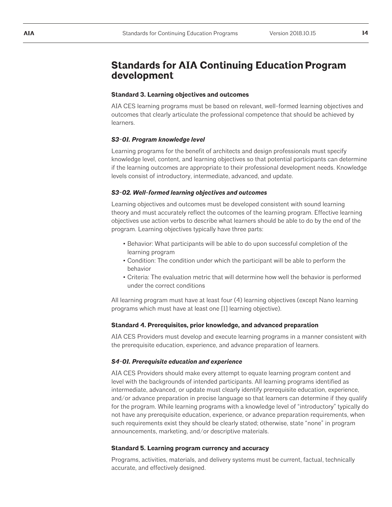## **Standards for AIA Continuing Education Program development**

#### **Standard 3. Learning objectives and outcomes**

AIA CES learning programs must be based on relevant, well-formed learning objectives and outcomes that clearly articulate the professional competence that should be achieved by learners.

#### *S3-01. Program knowledge level*

Learning programs for the benefit of architects and design professionals must specify knowledge level, content, and learning objectives so that potential participants can determine if the learning outcomes are appropriate to their professional development needs. Knowledge levels consist of introductory, intermediate, advanced, and update.

#### *S3-02. Well-formed learning objectives and outcomes*

Learning objectives and outcomes must be developed consistent with sound learning theory and must accurately reflect the outcomes of the learning program. Effective learning objectives use action verbs to describe what learners should be able to do by the end of the program. Learning objectives typically have three parts:

- Behavior: What participants will be able to do upon successful completion of the learning program
- Condition: The condition under which the participant will be able to perform the behavior
- Criteria: The evaluation metric that will determine how well the behavior is performed under the correct conditions

All learning program must have at least four (4) learning objectives (except Nano learning programs which must have at least one [1] learning objective).

#### **Standard 4. Prerequisites, prior knowledge, and advanced preparation**

AIA CES Providers must develop and execute learning programs in a manner consistent with the prerequisite education, experience, and advance preparation of learners.

#### *S4-01. Prerequisite education and experience*

AIA CES Providers should make every attempt to equate learning program content and level with the backgrounds of intended participants. All learning programs identified as intermediate, advanced, or update must clearly identify prerequisite education, experience, and/or advance preparation in precise language so that learners can determine if they qualify for the program. While learning programs with a knowledge level of "introductory" typically do not have any prerequisite education, experience, or advance preparation requirements, when such requirements exist they should be clearly stated; otherwise, state "none" in program announcements, marketing, and/or descriptive materials.

#### **Standard 5. Learning program currency and accuracy**

Programs, activities, materials, and delivery systems must be current, factual, technically accurate, and effectively designed.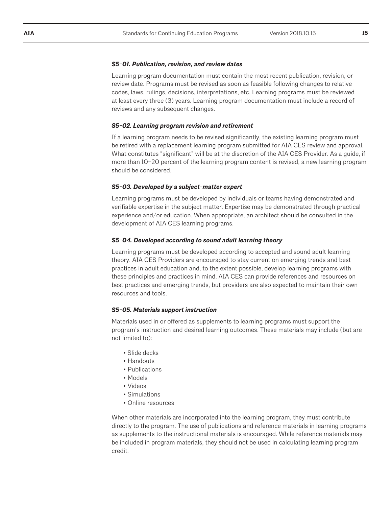#### *S5-01. Publication, revision, and review dates*

Learning program documentation must contain the most recent publication, revision, or review date. Programs must be revised as soon as feasible following changes to relative codes, laws, rulings, decisions, interpretations, etc. Learning programs must be reviewed at least every three (3) years. Learning program documentation must include a record of reviews and any subsequent changes.

#### *S5-02. Learning program revision and retirement*

If a learning program needs to be revised significantly, the existing learning program must be retired with a replacement learning program submitted for AIA CES review and approval. What constitutes "significant" will be at the discretion of the AIA CES Provider. As a guide, if more than 10–20 percent of the learning program content is revised, a new learning program should be considered.

#### *S5-03. Developed by a subject-matter expert*

Learning programs must be developed by individuals or teams having demonstrated and verifiable expertise in the subject matter. Expertise may be demonstrated through practical experience and/or education. When appropriate, an architect should be consulted in the development of AIA CES learning programs.

#### *S5-04. Developed according to sound adult learning theory*

Learning programs must be developed according to accepted and sound adult learning theory. AIA CES Providers are encouraged to stay current on emerging trends and best practices in adult education and, to the extent possible, develop learning programs with these principles and practices in mind. AIA CES can provide references and resources on best practices and emerging trends, but providers are also expected to maintain their own resources and tools.

#### *S5-05. Materials support instruction*

Materials used in or offered as supplements to learning programs must support the program's instruction and desired learning outcomes. These materials may include (but are not limited to):

- Slide decks
- Handouts
- Publications
- Models
- Videos
- Simulations
- Online resources

When other materials are incorporated into the learning program, they must contribute directly to the program. The use of publications and reference materials in learning programs as supplements to the instructional materials is encouraged. While reference materials may be included in program materials, they should not be used in calculating learning program credit.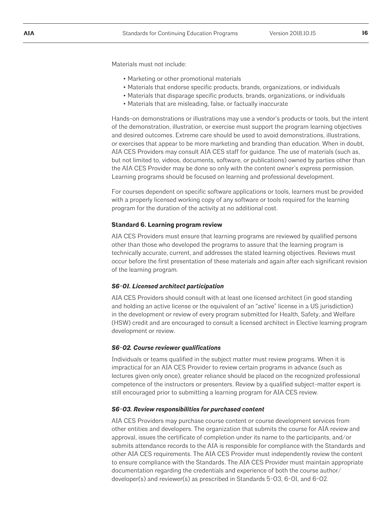Materials must not include:

- Marketing or other promotional materials
- Materials that endorse specific products, brands, organizations, or individuals
- Materials that disparage specific products, brands, organizations, or individuals
- Materials that are misleading, false, or factually inaccurate

Hands-on demonstrations or illustrations may use a vendor's products or tools, but the intent of the demonstration, illustration, or exercise must support the program learning objectives and desired outcomes. Extreme care should be used to avoid demonstrations, illustrations, or exercises that appear to be more marketing and branding than education. When in doubt, AIA CES Providers may consult AIA CES staff for guidance. The use of materials (such as, but not limited to, videos, documents, software, or publications) owned by parties other than the AIA CES Provider may be done so only with the content owner's express permission. Learning programs should be focused on learning and professional development.

For courses dependent on specific software applications or tools, learners must be provided with a properly licensed working copy of any software or tools required for the learning program for the duration of the activity at no additional cost.

#### **Standard 6. Learning program review**

AIA CES Providers must ensure that learning programs are reviewed by qualified persons other than those who developed the programs to assure that the learning program is technically accurate, current, and addresses the stated learning objectives. Reviews must occur before the first presentation of these materials and again after each significant revision of the learning program.

#### *S6-01. Licensed architect participation*

AIA CES Providers should consult with at least one licensed architect (in good standing and holding an active license or the equivalent of an "active" license in a US jurisdiction) in the development or review of every program submitted for Health, Safety, and Welfare (HSW) credit and are encouraged to consult a licensed architect in Elective learning program development or review.

#### *S6-02. Course reviewer qualifications*

Individuals or teams qualified in the subject matter must review programs. When it is impractical for an AIA CES Provider to review certain programs in advance (such as lectures given only once), greater reliance should be placed on the recognized professional competence of the instructors or presenters. Review by a qualified subject-matter expert is still encouraged prior to submitting a learning program for AIA CES review.

#### *S6-03. Review responsibilities for purchased content*

AIA CES Providers may purchase course content or course development services from other entities and developers. The organization that submits the course for AIA review and approval, issues the certificate of completion under its name to the participants, and/or submits attendance records to the AIA is responsible for compliance with the Standards and other AIA CES requirements. The AIA CES Provider must independently review the content to ensure compliance with the Standards. The AIA CES Provider must maintain appropriate documentation regarding the credentials and experience of both the course author/ developer(s) and reviewer(s) as prescribed in Standards 5-03, 6-01, and 6-02.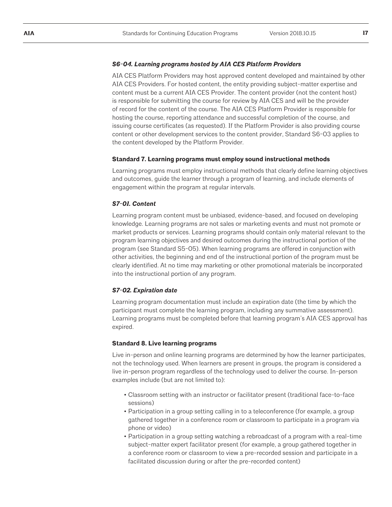#### *S6-04. Learning programs hosted by AIA CES Platform Providers*

AIA CES Platform Providers may host approved content developed and maintained by other AIA CES Providers. For hosted content, the entity providing subject-matter expertise and content must be a current AIA CES Provider. The content provider (not the content host) is responsible for submitting the course for review by AIA CES and will be the provider of record for the content of the course. The AIA CES Platform Provider is responsible for hosting the course, reporting attendance and successful completion of the course, and issuing course certificates (as requested). If the Platform Provider is also providing course content or other development services to the content provider, Standard S6-03 applies to the content developed by the Platform Provider.

#### **Standard 7. Learning programs must employ sound instructional methods**

Learning programs must employ instructional methods that clearly define learning objectives and outcomes, guide the learner through a program of learning, and include elements of engagement within the program at regular intervals.

#### *S7-01. Content*

Learning program content must be unbiased, evidence-based, and focused on developing knowledge. Learning programs are not sales or marketing events and must not promote or market products or services. Learning programs should contain only material relevant to the program learning objectives and desired outcomes during the instructional portion of the program (see Standard S5-05). When learning programs are offered in conjunction with other activities, the beginning and end of the instructional portion of the program must be clearly identified. At no time may marketing or other promotional materials be incorporated into the instructional portion of any program.

#### *S7-02. Expiration date*

Learning program documentation must include an expiration date (the time by which the participant must complete the learning program, including any summative assessment). Learning programs must be completed before that learning program's AIA CES approval has expired.

#### **Standard 8. Live learning programs**

Live in-person and online learning programs are determined by how the learner participates, not the technology used. When learners are present in groups, the program is considered a live in-person program regardless of the technology used to deliver the course. In-person examples include (but are not limited to):

- Classroom setting with an instructor or facilitator present (traditional face-to-face sessions)
- Participation in a group setting calling in to a teleconference (for example, a group gathered together in a conference room or classroom to participate in a program via phone or video)
- Participation in a group setting watching a rebroadcast of a program with a real-time subject-matter expert facilitator present (for example, a group gathered together in a conference room or classroom to view a pre-recorded session and participate in a facilitated discussion during or after the pre-recorded content)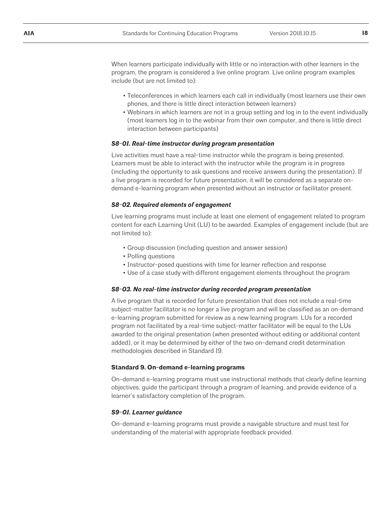When learners participate individually with little or no interaction with other learners in the program, the program is considered a live online program. Live online program examples include (but are not limited to):

- Teleconferences in which learners each call in individually (most learners use their own phones, and there is little direct interaction between learners)
- Webinars in which learners are not in a group setting and log in to the event individually (most learners log in to the webinar from their own computer, and there is little direct interaction between participants)

#### *S8-01. Real-time instructor during program presentation*

Live activities must have a real-time instructor while the program is being presented. Learners must be able to interact with the instructor while the program is in progress (including the opportunity to ask questions and receive answers during the presentation). If a live program is recorded for future presentation, it will be considered as a separate ondemand e-learning program when presented without an instructor or facilitator present.

#### *S8-02. Required elements of engagement*

Live learning programs must include at least one element of engagement related to program content for each Learning Unit (LU) to be awarded. Examples of engagement include (but are not limited to):

- Group discussion (including question and answer session)
- Polling questions
- Instructor-posed questions with time for learner reflection and response
- Use of a case study with different engagement elements throughout the program

#### *S8-03. No real-time instructor during recorded program presentation*

A live program that is recorded for future presentation that does not include a real-time subject-matter facilitator is no longer a live program and will be classified as an on-demand e-learning program submitted for review as a new learning program. LUs for a recorded program not facilitated by a real-time subject-matter facilitator will be equal to the LUs awarded to the original presentation (when presented without editing or additional content added), or it may be determined by either of the two on-demand credit determination methodologies described in Standard 19.

#### **Standard 9. On-demand e-learning programs**

On-demand e-learning programs must use instructional methods that clearly define learning objectives, guide the participant through a program of learning, and provide evidence of a learner's satisfactory completion of the program.

#### *S9-01. Learner guidance*

On-demand e-learning programs must provide a navigable structure and must test for understanding of the material with appropriate feedback provided.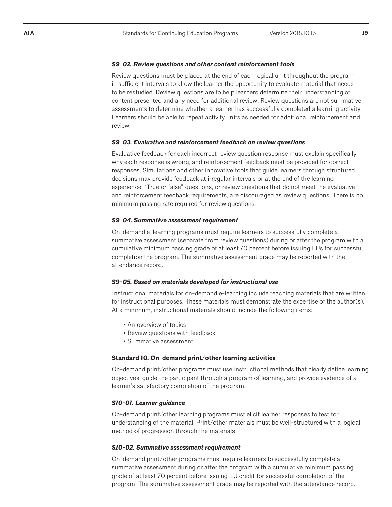#### *S9-02. Review questions and other content reinforcement tools*

Review questions must be placed at the end of each logical unit throughout the program in sufficient intervals to allow the learner the opportunity to evaluate material that needs to be restudied. Review questions are to help learners determine their understanding of content presented and any need for additional review. Review questions are not summative assessments to determine whether a learner has successfully completed a learning activity. Learners should be able to repeat activity units as needed for additional reinforcement and review.

#### *S9-03. Evaluative and reinforcement feedback on review questions*

Evaluative feedback for each incorrect review question response must explain specifically why each response is wrong, and reinforcement feedback must be provided for correct responses. Simulations and other innovative tools that guide learners through structured decisions may provide feedback at irregular intervals or at the end of the learning experience. "True or false" questions, or review questions that do not meet the evaluative and reinforcement feedback requirements, are discouraged as review questions. There is no minimum passing rate required for review questions.

#### *S9-04. Summative assessment requirement*

On-demand e-learning programs must require learners to successfully complete a summative assessment (separate from review questions) during or after the program with a cumulative minimum passing grade of at least 70 percent before issuing LUs for successful completion the program. The summative assessment grade may be reported with the attendance record.

#### *S9-05. Based on materials developed for instructional use*

Instructional materials for on-demand e-learning include teaching materials that are written for instructional purposes. These materials must demonstrate the expertise of the author(s). At a minimum, instructional materials should include the following items:

- An overview of topics
- Review questions with feedback
- Summative assessment

#### **Standard 10. On-demand print/other learning activities**

On-demand print/other programs must use instructional methods that clearly define learning objectives, guide the participant through a program of learning, and provide evidence of a learner's satisfactory completion of the program.

#### *S10-01. Learner guidance*

On-demand print/other learning programs must elicit learner responses to test for understanding of the material. Print/other materials must be well-structured with a logical method of progression through the materials.

#### *S10-02. Summative assessment requirement*

On-demand print/other programs must require learners to successfully complete a summative assessment during or after the program with a cumulative minimum passing grade of at least 70 percent before issuing LU credit for successful completion of the program. The summative assessment grade may be reported with the attendance record.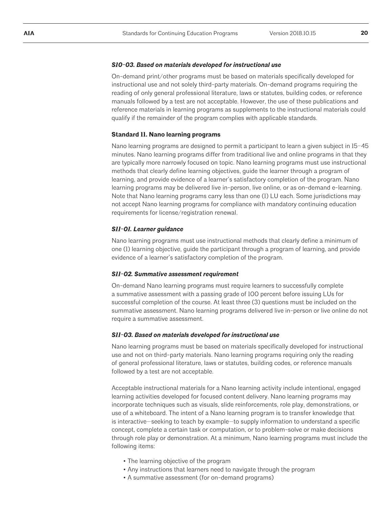#### *S10-03. Based on materials developed for instructional use*

On-demand print/other programs must be based on materials specifically developed for instructional use and not solely third-party materials. On-demand programs requiring the reading of only general professional literature, laws or statutes, building codes, or reference manuals followed by a test are not acceptable. However, the use of these publications and reference materials in learning programs as supplements to the instructional materials could qualify if the remainder of the program complies with applicable standards.

#### **Standard 11. Nano learning programs**

Nano learning programs are designed to permit a participant to learn a given subject in 15–45 minutes. Nano learning programs differ from traditional live and online programs in that they are typically more narrowly focused on topic. Nano learning programs must use instructional methods that clearly define learning objectives, guide the learner through a program of learning, and provide evidence of a learner's satisfactory completion of the program. Nano learning programs may be delivered live in-person, live online, or as on-demand e-learning. Note that Nano learning programs carry less than one (1) LU each. Some jurisdictions may not accept Nano learning programs for compliance with mandatory continuing education requirements for license/registration renewal.

#### *S11-01. Learner guidance*

Nano learning programs must use instructional methods that clearly define a minimum of one (1) learning objective, guide the participant through a program of learning, and provide evidence of a learner's satisfactory completion of the program.

#### *S11-02. Summative assessment requirement*

On-demand Nano learning programs must require learners to successfully complete a summative assessment with a passing grade of 100 percent before issuing LUs for successful completion of the course. At least three (3) questions must be included on the summative assessment. Nano learning programs delivered live in-person or live online do not require a summative assessment.

#### *S11-03. Based on materials developed for instructional use*

Nano learning programs must be based on materials specifically developed for instructional use and not on third-party materials. Nano learning programs requiring only the reading of general professional literature, laws or statutes, building codes, or reference manuals followed by a test are not acceptable.

Acceptable instructional materials for a Nano learning activity include intentional, engaged learning activities developed for focused content delivery. Nano learning programs may incorporate techniques such as visuals, slide reinforcements, role play, demonstrations, or use of a whiteboard. The intent of a Nano learning program is to transfer knowledge that is interactive—seeking to teach by example—to supply information to understand a specific concept, complete a certain task or computation, or to problem-solve or make decisions through role play or demonstration. At a minimum, Nano learning programs must include the following items:

- The learning objective of the program
- Any instructions that learners need to navigate through the program
- A summative assessment (for on-demand programs)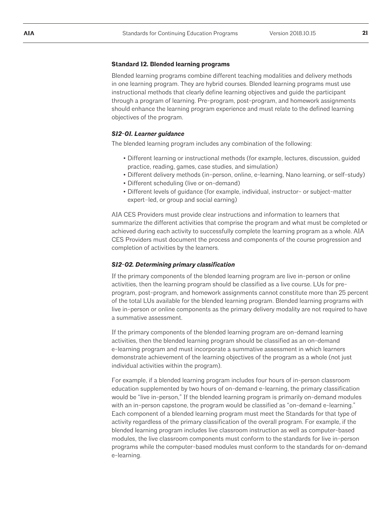#### **Standard 12. Blended learning programs**

Blended learning programs combine different teaching modalities and delivery methods in one learning program. They are hybrid courses. Blended learning programs must use instructional methods that clearly define learning objectives and guide the participant through a program of learning. Pre-program, post-program, and homework assignments should enhance the learning program experience and must relate to the defined learning objectives of the program.

#### *S12-01. Learner guidance*

The blended learning program includes any combination of the following:

- Different learning or instructional methods (for example, lectures, discussion, guided practice, reading, games, case studies, and simulation)
- Different delivery methods (in-person, online, e-learning, Nano learning, or self-study)
- Different scheduling (live or on-demand)
- Different levels of guidance (for example, individual, instructor- or subject-matter expert–led, or group and social earning)

AIA CES Providers must provide clear instructions and information to learners that summarize the different activities that comprise the program and what must be completed or achieved during each activity to successfully complete the learning program as a whole. AIA CES Providers must document the process and components of the course progression and completion of activities by the learners.

#### *S12-02. Determining primary classification*

If the primary components of the blended learning program are live in-person or online activities, then the learning program should be classified as a live course. LUs for preprogram, post-program, and homework assignments cannot constitute more than 25 percent of the total LUs available for the blended learning program. Blended learning programs with live in-person or online components as the primary delivery modality are not required to have a summative assessment.

If the primary components of the blended learning program are on-demand learning activities, then the blended learning program should be classified as an on-demand e-learning program and must incorporate a summative assessment in which learners demonstrate achievement of the learning objectives of the program as a whole (not just individual activities within the program).

For example, if a blended learning program includes four hours of in-person classroom education supplemented by two hours of on-demand e-learning, the primary classification would be "live in-person," If the blended learning program is primarily on-demand modules with an in-person capstone, the program would be classified as "on-demand e-learning." Each component of a blended learning program must meet the Standards for that type of activity regardless of the primary classification of the overall program. For example, if the blended learning program includes live classroom instruction as well as computer-based modules, the live classroom components must conform to the standards for live in-person programs while the computer-based modules must conform to the standards for on-demand e-learning.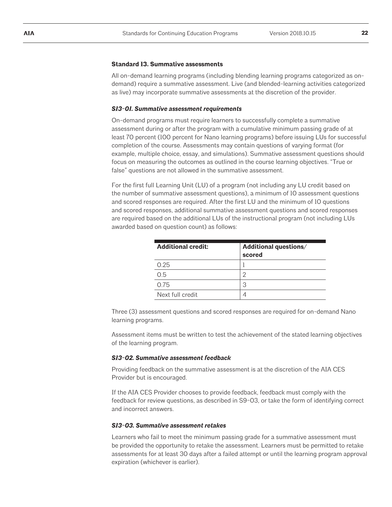#### **Standard 13. Summative assessments**

All on-demand learning programs (including blending learning programs categorized as ondemand) require a summative assessment. Live (and blended-learning activities categorized as live) may incorporate summative assessments at the discretion of the provider.

#### *S13-01. Summative assessment requirements*

On-demand programs must require learners to successfully complete a summative assessment during or after the program with a cumulative minimum passing grade of at least 70 percent (100 percent for Nano learning programs) before issuing LUs for successful completion of the course. Assessments may contain questions of varying format (for example, multiple choice, essay, and simulations). Summative assessment questions should focus on measuring the outcomes as outlined in the course learning objectives. "True or false" questions are not allowed in the summative assessment.

For the first full Learning Unit (LU) of a program (not including any LU credit based on the number of summative assessment questions), a minimum of 10 assessment questions and scored responses are required. After the first LU and the minimum of 10 questions and scored responses, additional summative assessment questions and scored responses are required based on the additional LUs of the instructional program (not including LUs awarded based on question count) as follows:

| <b>Additional credit:</b> | Additional questions/<br>scored |
|---------------------------|---------------------------------|
| 0.25                      |                                 |
| 0.5                       |                                 |
| 0.75                      | З                               |
| Next full credit          |                                 |

Three (3) assessment questions and scored responses are required for on-demand Nano learning programs.

Assessment items must be written to test the achievement of the stated learning objectives of the learning program.

#### *S13-02. Summative assessment feedback*

Providing feedback on the summative assessment is at the discretion of the AIA CES Provider but is encouraged.

If the AIA CES Provider chooses to provide feedback, feedback must comply with the feedback for review questions, as described in S9-03, or take the form of identifying correct and incorrect answers.

#### *S13-03. Summative assessment retakes*

Learners who fail to meet the minimum passing grade for a summative assessment must be provided the opportunity to retake the assessment. Learners must be permitted to retake assessments for at least 30 days after a failed attempt or until the learning program approval expiration (whichever is earlier).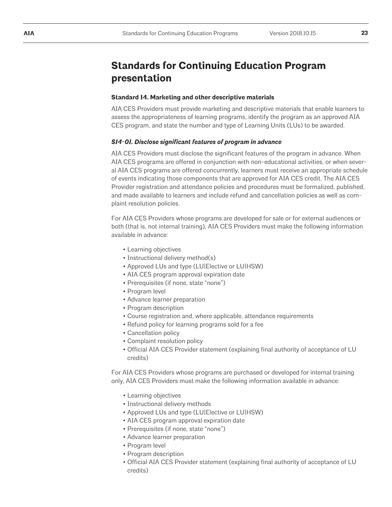## **Standards for Continuing Education Program presentation**

#### **Standard 14. Marketing and other descriptive materials**

AIA CES Providers must provide marketing and descriptive materials that enable learners to assess the appropriateness of learning programs, identify the program as an approved AIA CES program, and state the number and type of Learning Units (LUs) to be awarded.

#### *S14-01. Disclose significant features of program in advance*

AIA CES Providers must disclose the significant features of the program in advance. When AIA CES programs are offered in conjunction with non-educational activities, or when several AIA CES programs are offered concurrently, learners must receive an appropriate schedule of events indicating those components that are approved for AIA CES credit. The AIA CES Provider registration and attendance policies and procedures must be formalized, published, and made available to learners and include refund and cancellation policies as well as complaint resolution policies.

For AIA CES Providers whose programs are developed for sale or for external audiences or both (that is, not internal training), AIA CES Providers must make the following information available in advance:

- Learning objectives
- Instructional delivery method(s)
- Approved LUs and type (LU|Elective or LU|HSW)
- AIA CES program approval expiration date
- Prerequisites (if none, state "none")
- Program level
- Advance learner preparation
- Program description
- Course registration and, where applicable, attendance requirements
- Refund policy for learning programs sold for a fee
- Cancellation policy
- Complaint resolution policy
- Official AIA CES Provider statement (explaining final authority of acceptance of LU credits)

For AIA CES Providers whose programs are purchased or developed for internal training only, AIA CES Providers must make the following information available in advance:

- Learning objectives
- Instructional delivery methods
- Approved LUs and type (LU|Elective or LU|HSW)
- AIA CES program approval expiration date
- Prerequisites (if none, state "none")
- Advance learner preparation
- Program level
- Program description
- Official AIA CES Provider statement (explaining final authority of acceptance of LU credits)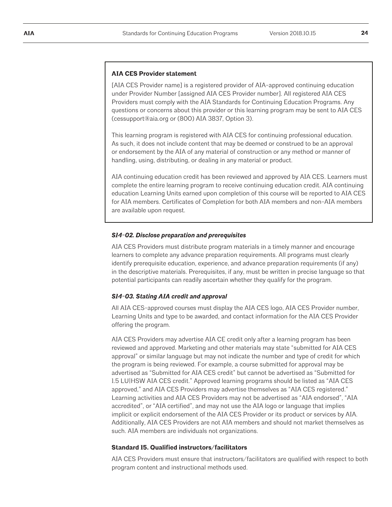#### **AIA CES Provider statement**

[AIA CES Provider name] is a registered provider of AIA-approved continuing education under Provider Number [assigned AIA CES Provider number]. All registered AIA CES Providers must comply with the AIA Standards for Continuing Education Programs. Any questions or concerns about this provider or this learning program may be sent to AIA CES (cessupport@aia.org or (800) AIA 3837, Option 3).

This learning program is registered with AIA CES for continuing professional education. As such, it does not include content that may be deemed or construed to be an approval or endorsement by the AIA of any material of construction or any method or manner of handling, using, distributing, or dealing in any material or product.

AIA continuing education credit has been reviewed and approved by AIA CES. Learners must complete the entire learning program to receive continuing education credit. AIA continuing education Learning Units earned upon completion of this course will be reported to AIA CES for AIA members. Certificates of Completion for both AIA members and non-AIA members are available upon request.

#### *S14-02. Disclose preparation and prerequisites*

AIA CES Providers must distribute program materials in a timely manner and encourage learners to complete any advance preparation requirements. All programs must clearly identify prerequisite education, experience, and advance preparation requirements (if any) in the descriptive materials. Prerequisites, if any, must be written in precise language so that potential participants can readily ascertain whether they qualify for the program.

#### *S14-03. Stating AIA credit and approval*

All AIA CES-approved courses must display the AIA CES logo, AIA CES Provider number, Learning Units and type to be awarded, and contact information for the AIA CES Provider offering the program.

AIA CES Providers may advertise AIA CE credit only after a learning program has been reviewed and approved. Marketing and other materials may state "submitted for AIA CES approval" or similar language but may not indicate the number and type of credit for which the program is being reviewed. For example, a course submitted for approval may be advertised as "Submitted for AIA CES credit" but cannot be advertised as "Submitted for 1.5 LU|HSW AIA CES credit." Approved learning programs should be listed as "AIA CES approved," and AIA CES Providers may advertise themselves as "AIA CES registered." Learning activities and AIA CES Providers may not be advertised as "AIA endorsed", "AIA accredited", or "AIA certified", and may not use the AIA logo or language that implies implicit or explicit endorsement of the AIA CES Provider or its product or services by AIA. Additionally, AIA CES Providers are not AIA members and should not market themselves as such. AIA members are individuals not organizations.

#### **Standard 15. Qualified instructors/facilitators**

AIA CES Providers must ensure that instructors/facilitators are qualified with respect to both program content and instructional methods used.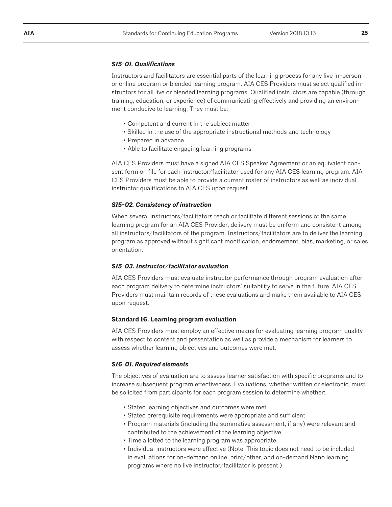#### *S15-01. Qualifications*

Instructors and facilitators are essential parts of the learning process for any live in-person or online program or blended learning program. AIA CES Providers must select qualified instructors for all live or blended learning programs. Qualified instructors are capable (through training, education, or experience) of communicating effectively and providing an environment conducive to learning. They must be:

- Competent and current in the subject matter
- Skilled in the use of the appropriate instructional methods and technology
- Prepared in advance
- Able to facilitate engaging learning programs

AIA CES Providers must have a signed AIA CES Speaker Agreement or an equivalent consent form on file for each instructor/facilitator used for any AIA CES learning program. AIA CES Providers must be able to provide a current roster of instructors as well as individual instructor qualifications to AIA CES upon request.

#### *S15-02. Consistency of instruction*

When several instructors/facilitators teach or facilitate different sessions of the same learning program for an AIA CES Provider, delivery must be uniform and consistent among all instructors/facilitators of the program. Instructors/facilitators are to deliver the learning program as approved without significant modification, endorsement, bias, marketing, or sales orientation.

#### *S15-03. Instructor/facilitator evaluation*

AIA CES Providers must evaluate instructor performance through program evaluation after each program delivery to determine instructors' suitability to serve in the future. AIA CES Providers must maintain records of these evaluations and make them available to AIA CES upon request.

#### **Standard 16. Learning program evaluation**

AIA CES Providers must employ an effective means for evaluating learning program quality with respect to content and presentation as well as provide a mechanism for learners to assess whether learning objectives and outcomes were met.

#### *S16-01. Required elements*

The objectives of evaluation are to assess learner satisfaction with specific programs and to increase subsequent program effectiveness. Evaluations, whether written or electronic, must be solicited from participants for each program session to determine whether:

- Stated learning objectives and outcomes were met
- Stated prerequisite requirements were appropriate and sufficient
- Program materials (including the summative assessment, if any) were relevant and contributed to the achievement of the learning objective
- Time allotted to the learning program was appropriate
- Individual instructors were effective (Note: This topic does not need to be included in evaluations for on-demand online, print/other, and on-demand Nano learning programs where no live instructor/facilitator is present.)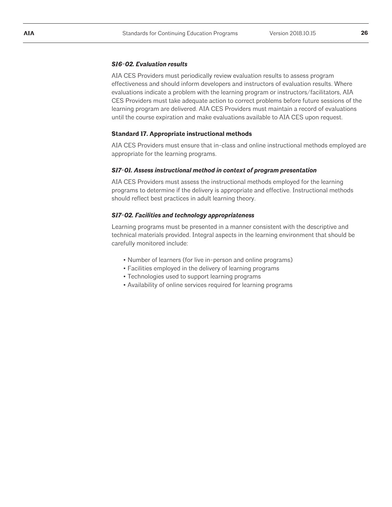#### *S16-02. Evaluation results*

AIA CES Providers must periodically review evaluation results to assess program effectiveness and should inform developers and instructors of evaluation results. Where evaluations indicate a problem with the learning program or instructors/facilitators, AIA CES Providers must take adequate action to correct problems before future sessions of the learning program are delivered. AIA CES Providers must maintain a record of evaluations until the course expiration and make evaluations available to AIA CES upon request.

#### **Standard 17. Appropriate instructional methods**

AIA CES Providers must ensure that in-class and online instructional methods employed are appropriate for the learning programs.

#### *S17-01. Assess instructional method in context of program presentation*

AIA CES Providers must assess the instructional methods employed for the learning programs to determine if the delivery is appropriate and effective. Instructional methods should reflect best practices in adult learning theory.

#### *S17-02. Facilities and technology appropriateness*

Learning programs must be presented in a manner consistent with the descriptive and technical materials provided. Integral aspects in the learning environment that should be carefully monitored include:

- Number of learners (for live in-person and online programs)
- Facilities employed in the delivery of learning programs
- Technologies used to support learning programs
- Availability of online services required for learning programs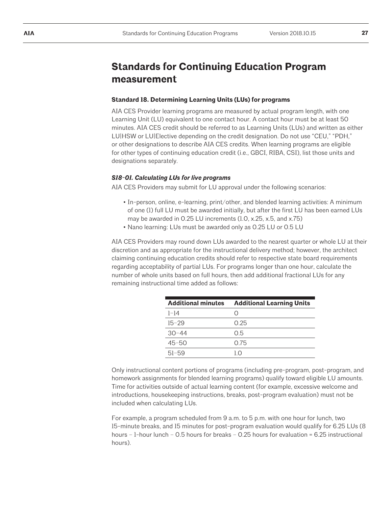## **Standards for Continuing Education Program measurement**

#### **Standard 18. Determining Learning Units (LUs) for programs**

AIA CES Provider learning programs are measured by actual program length, with one Learning Unit (LU) equivalent to one contact hour. A contact hour must be at least 50 minutes. AIA CES credit should be referred to as Learning Units (LUs) and written as either LU|HSW or LU|Elective depending on the credit designation. Do not use "CEU," "PDH," or other designations to describe AIA CES credits. When learning programs are eligible for other types of continuing education credit (i.e., GBCI, RIBA, CSI), list those units and designations separately.

#### *S18-01. Calculating LUs for live programs*

AIA CES Providers may submit for LU approval under the following scenarios:

- In-person, online, e-learning, print/other, and blended learning activities: A minimum of one (1) full LU must be awarded initially, but after the first LU has been earned LUs may be awarded in 0.25 LU increments (1.0, x.25, x.5, and x.75)
- Nano learning: LUs must be awarded only as 0.25 LU or 0.5 LU

AIA CES Providers may round down LUs awarded to the nearest quarter or whole LU at their discretion and as appropriate for the instructional delivery method; however, the architect claiming continuing education credits should refer to respective state board requirements regarding acceptability of partial LUs. For programs longer than one hour, calculate the number of whole units based on full hours, then add additional fractional LUs for any remaining instructional time added as follows:

| <b>Additional minutes</b> | <b>Additional Learning Units</b> |
|---------------------------|----------------------------------|
| $1 - 14$                  |                                  |
| $15 - 29$                 | 0.25                             |
| $30 - 44$                 | 05                               |
| $45 - 50$                 | 0.75                             |
| $51 - 59$                 | 1 O                              |

Only instructional content portions of programs (including pre-program, post-program, and homework assignments for blended learning programs) qualify toward eligible LU amounts. Time for activities outside of actual learning content (for example, excessive welcome and introductions, housekeeping instructions, breaks, post-program evaluation) must not be included when calculating LUs.

For example, a program scheduled from 9 a.m. to 5 p.m. with one hour for lunch, two 15-minute breaks, and 15 minutes for post-program evaluation would qualify for 6.25 LUs (8 hours – 1-hour lunch – 0.5 hours for breaks – 0.25 hours for evaluation = 6.25 instructional hours).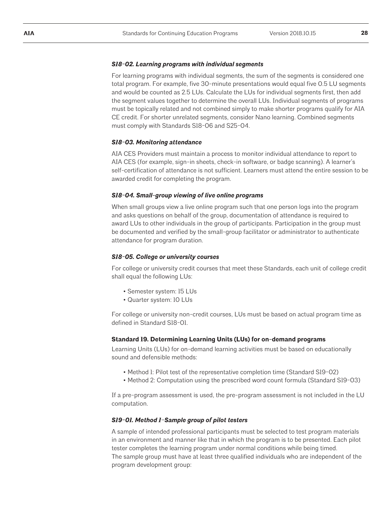#### *S18-02. Learning programs with individual segments*

For learning programs with individual segments, the sum of the segments is considered one total program. For example, five 30-minute presentations would equal five 0.5 LU segments and would be counted as 2.5 LUs. Calculate the LUs for individual segments first, then add the segment values together to determine the overall LUs. Individual segments of programs must be topically related and not combined simply to make shorter programs qualify for AIA CE credit. For shorter unrelated segments, consider Nano learning. Combined segments must comply with Standards S18-06 and S25-04.

#### *S18-03. Monitoring attendance*

AIA CES Providers must maintain a process to monitor individual attendance to report to AIA CES (for example, sign-in sheets, check-in software, or badge scanning). A learner's self-certification of attendance is not sufficient. Learners must attend the entire session to be awarded credit for completing the program.

#### *S18-04. Small-group viewing of live online programs*

When small groups view a live online program such that one person logs into the program and asks questions on behalf of the group, documentation of attendance is required to award LUs to other individuals in the group of participants. Participation in the group must be documented and verified by the small-group facilitator or administrator to authenticate attendance for program duration.

#### *S18-05. College or university courses*

For college or university credit courses that meet these Standards, each unit of college credit shall equal the following LUs:

- Semester system: 15 LUs
- Quarter system: 10 LUs

For college or university non-credit courses, LUs must be based on actual program time as defined in Standard S18-01.

#### **Standard 19. Determining Learning Units (LUs) for on-demand programs**

Learning Units (LUs) for on-demand learning activities must be based on educationally sound and defensible methods:

- Method 1: Pilot test of the representative completion time (Standard S19-02)
- Method 2: Computation using the prescribed word count formula (Standard S19-03)

If a pre-program assessment is used, the pre-program assessment is not included in the LU computation.

#### *S19-01. Method 1–Sample group of pilot testers*

A sample of intended professional participants must be selected to test program materials in an environment and manner like that in which the program is to be presented. Each pilot tester completes the learning program under normal conditions while being timed. The sample group must have at least three qualified individuals who are independent of the program development group: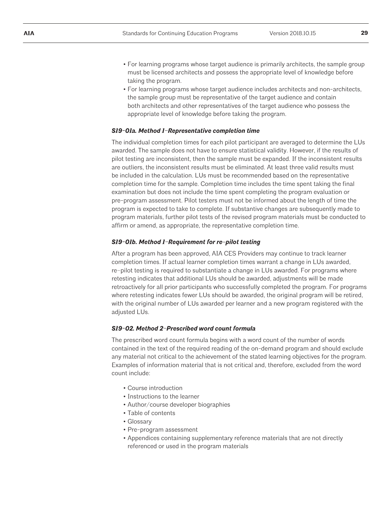- For learning programs whose target audience is primarily architects, the sample group must be licensed architects and possess the appropriate level of knowledge before taking the program.
- For learning programs whose target audience includes architects and non-architects, the sample group must be representative of the target audience and contain both architects and other representatives of the target audience who possess the appropriate level of knowledge before taking the program.

#### *S19-01a. Method 1–Representative completion time*

The individual completion times for each pilot participant are averaged to determine the LUs awarded. The sample does not have to ensure statistical validity. However, if the results of pilot testing are inconsistent, then the sample must be expanded. If the inconsistent results are outliers, the inconsistent results must be eliminated. At least three valid results must be included in the calculation. LUs must be recommended based on the representative completion time for the sample. Completion time includes the time spent taking the final examination but does not include the time spent completing the program evaluation or pre-program assessment. Pilot testers must not be informed about the length of time the program is expected to take to complete. If substantive changes are subsequently made to program materials, further pilot tests of the revised program materials must be conducted to affirm or amend, as appropriate, the representative completion time.

#### *S19-01b. Method 1–Requirement for re–pilot testing*

After a program has been approved, AIA CES Providers may continue to track learner completion times. If actual learner completion times warrant a change in LUs awarded, re–pilot testing is required to substantiate a change in LUs awarded. For programs where retesting indicates that additional LUs should be awarded, adjustments will be made retroactively for all prior participants who successfully completed the program. For programs where retesting indicates fewer LUs should be awarded, the original program will be retired, with the original number of LUs awarded per learner and a new program registered with the adjusted LUs.

#### *S19-02. Method 2–Prescribed word count formula*

The prescribed word count formula begins with a word count of the number of words contained in the text of the required reading of the on-demand program and should exclude any material not critical to the achievement of the stated learning objectives for the program. Examples of information material that is not critical and, therefore, excluded from the word count include:

- Course introduction
- Instructions to the learner
- Author/course developer biographies
- Table of contents
- Glossary
- Pre-program assessment
- Appendices containing supplementary reference materials that are not directly referenced or used in the program materials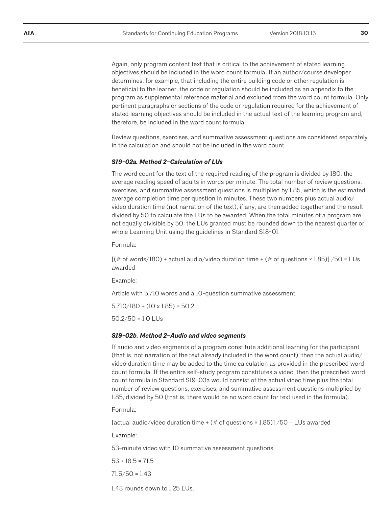Again, only program content text that is critical to the achievement of stated learning objectives should be included in the word count formula. If an author/course developer determines, for example, that including the entire building code or other regulation is beneficial to the learner, the code or regulation should be included as an appendix to the program as supplemental reference material and excluded from the word count formula. Only pertinent paragraphs or sections of the code or regulation required for the achievement of stated learning objectives should be included in the actual text of the learning program and, therefore, be included in the word count formula.

Review questions, exercises, and summative assessment questions are considered separately in the calculation and should not be included in the word count.

#### *S19-02a. Method 2–Calculation of LUs*

The word count for the text of the required reading of the program is divided by 180, the average reading speed of adults in words per minute. The total number of review questions, exercises, and summative assessment questions is multiplied by 1.85, which is the estimated average completion time per question in minutes. These two numbers plus actual audio/ video duration time (not narration of the text), if any, are then added together and the result divided by 50 to calculate the LUs to be awarded. When the total minutes of a program are not equally divisible by 50, the LUs granted must be rounded down to the nearest quarter or whole Learning Unit using the guidelines in Standard S18-01.

Formula:

 $[(# of words/180) + actual audio/video duration time + ( $# of questions \times 1.85$ )]/50 = LUs$ awarded

Example:

Article with 5,710 words and a 10-question summative assessment.

 $5,710/180 + (10 \times 1.85) = 50.2$ 

 $50.2/50 = 1.0$  LUs

#### *S19-02b. Method 2–Audio and video segments*

If audio and video segments of a program constitute additional learning for the participant (that is, not narration of the text already included in the word count), then the actual audio/ video duration time may be added to the time calculation as provided in the prescribed word count formula. If the entire self-study program constitutes a video, then the prescribed word count formula in Standard S19-03a would consist of the actual video time plus the total number of review questions, exercises, and summative assessment questions multiplied by 1.85, divided by 50 (that is, there would be no word count for text used in the formula).

Formula:

[actual audio/video duration time  $+$  (# of questions  $\times$  1.85)] /50 = LUs awarded

Example:

53-minute video with 10 summative assessment questions

 $53 + 18.5 = 71.5$ 

 $71.5/50 = 1.43$ 

1.43 rounds down to 1.25 LUs.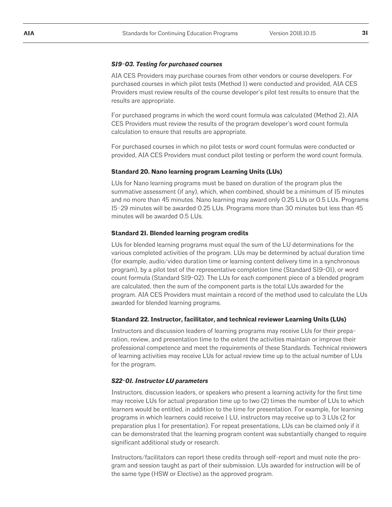#### *S19-03. Testing for purchased courses*

AIA CES Providers may purchase courses from other vendors or course developers. For purchased courses in which pilot tests (Method 1) were conducted and provided, AIA CES Providers must review results of the course developer's pilot test results to ensure that the results are appropriate.

For purchased programs in which the word count formula was calculated (Method 2), AIA CES Providers must review the results of the program developer's word count formula calculation to ensure that results are appropriate.

For purchased courses in which no pilot tests or word count formulas were conducted or provided, AIA CES Providers must conduct pilot testing or perform the word count formula.

#### **Standard 20. Nano learning program Learning Units (LUs)**

LUs for Nano learning programs must be based on duration of the program plus the summative assessment (if any), which, when combined, should be a minimum of 15 minutes and no more than 45 minutes. Nano learning may award only 0.25 LUs or 0.5 LUs. Programs 15–29 minutes will be awarded 0.25 LUs. Programs more than 30 minutes but less than 45 minutes will be awarded  $0.51$  Us.

#### **Standard 21. Blended learning program credits**

LUs for blended learning programs must equal the sum of the LU determinations for the various completed activities of the program. LUs may be determined by actual duration time (for example, audio/video duration time or learning content delivery time in a synchronous program), by a pilot test of the representative completion time (Standard S19-01), or word count formula (Standard S19-02). The LUs for each component piece of a blended program are calculated, then the sum of the component parts is the total LUs awarded for the program. AIA CES Providers must maintain a record of the method used to calculate the LUs awarded for blended learning programs.

#### **Standard 22. Instructor, facilitator, and technical reviewer Learning Units (LUs)**

Instructors and discussion leaders of learning programs may receive LUs for their preparation, review, and presentation time to the extent the activities maintain or improve their professional competence and meet the requirements of these Standards. Technical reviewers of learning activities may receive LUs for actual review time up to the actual number of LUs for the program.

#### *S22-01. Instructor LU parameters*

Instructors, discussion leaders, or speakers who present a learning activity for the first time may receive LUs for actual preparation time up to two (2) times the number of LUs to which learners would be entitled, in addition to the time for presentation. For example, for learning programs in which learners could receive 1 LU, instructors may receive up to 3 LUs (2 for preparation plus 1 for presentation). For repeat presentations, LUs can be claimed only if it can be demonstrated that the learning program content was substantially changed to require significant additional study or research.

Instructors/facilitators can report these credits through self-report and must note the program and session taught as part of their submission. LUs awarded for instruction will be of the same type (HSW or Elective) as the approved program.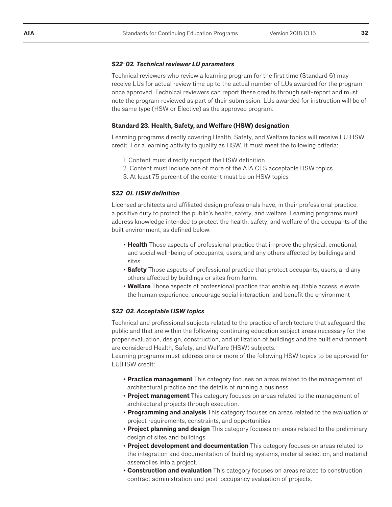#### *S22-02. Technical reviewer LU parameters*

Technical reviewers who review a learning program for the first time (Standard 6) may receive LUs for actual review time up to the actual number of LUs awarded for the program once approved. Technical reviewers can report these credits through self-report and must note the program reviewed as part of their submission. LUs awarded for instruction will be of the same type (HSW or Elective) as the approved program.

#### **Standard 23. Health, Safety, and Welfare (HSW) designation**

Learning programs directly covering Health, Safety, and Welfare topics will receive LU|HSW credit. For a learning activity to qualify as HSW, it must meet the following criteria:

- 1. Content must directly support the HSW definition
- 2. Content must include one of more of the AIA CES acceptable HSW topics
- 3. At least 75 percent of the content must be on HSW topics

#### *S23-01. HSW definition*

Licensed architects and affiliated design professionals have, in their professional practice, a positive duty to protect the public's health, safety, and welfare. Learning programs must address knowledge intended to protect the health, safety, and welfare of the occupants of the built environment, as defined below:

- **Health** Those aspects of professional practice that improve the physical, emotional, and social well-being of occupants, users, and any others affected by buildings and sites.
- **Safety** Those aspects of professional practice that protect occupants, users, and any others affected by buildings or sites from harm.
- **Welfare** Those aspects of professional practice that enable equitable access, elevate the human experience, encourage social interaction, and benefit the environment

#### *S23-02. Acceptable HSW topics*

Technical and professional subjects related to the practice of architecture that safeguard the public and that are within the following continuing education subject areas necessary for the proper evaluation, design, construction, and utilization of buildings and the built environment are considered Health, Safety, and Welfare (HSW) subjects.

Learning programs must address one or more of the following HSW topics to be approved for LU|HSW credit:

- **Practice management** This category focuses on areas related to the management of architectural practice and the details of running a business.
- **Project management** This category focuses on areas related to the management of architectural projects through execution.
- **Programming and analysis** This category focuses on areas related to the evaluation of project requirements, constraints, and opportunities.
- **Project planning and design** This category focuses on areas related to the preliminary design of sites and buildings.
- **Project development and documentation** This category focuses on areas related to the integration and documentation of building systems, material selection, and material assemblies into a project.
- **Construction and evaluation** This category focuses on areas related to construction contract administration and post-occupancy evaluation of projects.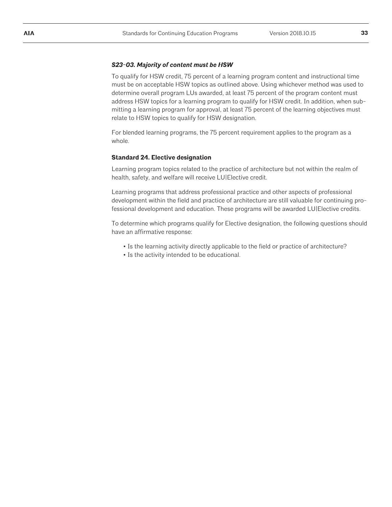#### *S23-03. Majority of content must be HSW*

To qualify for HSW credit, 75 percent of a learning program content and instructional time must be on acceptable HSW topics as outlined above. Using whichever method was used to determine overall program LUs awarded, at least 75 percent of the program content must address HSW topics for a learning program to qualify for HSW credit. In addition, when submitting a learning program for approval, at least 75 percent of the learning objectives must relate to HSW topics to qualify for HSW designation.

For blended learning programs, the 75 percent requirement applies to the program as a whole.

#### **Standard 24. Elective designation**

Learning program topics related to the practice of architecture but not within the realm of health, safety, and welfare will receive LU|Elective credit.

Learning programs that address professional practice and other aspects of professional development within the field and practice of architecture are still valuable for continuing professional development and education. These programs will be awarded LU|Elective credits.

To determine which programs qualify for Elective designation, the following questions should have an affirmative response:

- Is the learning activity directly applicable to the field or practice of architecture?
- Is the activity intended to be educational.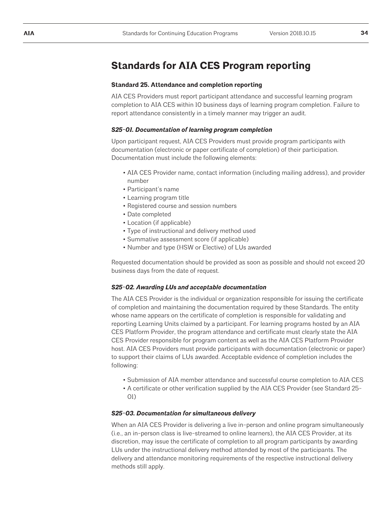## **Standards for AIA CES Program reporting**

#### **Standard 25. Attendance and completion reporting**

AIA CES Providers must report participant attendance and successful learning program completion to AIA CES within 10 business days of learning program completion. Failure to report attendance consistently in a timely manner may trigger an audit.

#### *S25-01. Documentation of learning program completion*

Upon participant request, AIA CES Providers must provide program participants with documentation (electronic or paper certificate of completion) of their participation. Documentation must include the following elements:

- AIA CES Provider name, contact information (including mailing address), and provider number
- Participant's name
- Learning program title
- Registered course and session numbers
- Date completed
- Location (if applicable)
- Type of instructional and delivery method used
- Summative assessment score (if applicable)
- Number and type (HSW or Elective) of LUs awarded

Requested documentation should be provided as soon as possible and should not exceed 20 business days from the date of request.

#### *S25-02. Awarding LUs and acceptable documentation*

The AIA CES Provider is the individual or organization responsible for issuing the certificate of completion and maintaining the documentation required by these Standards. The entity whose name appears on the certificate of completion is responsible for validating and reporting Learning Units claimed by a participant. For learning programs hosted by an AIA CES Platform Provider, the program attendance and certificate must clearly state the AIA CES Provider responsible for program content as well as the AIA CES Platform Provider host. AIA CES Providers must provide participants with documentation (electronic or paper) to support their claims of LUs awarded. Acceptable evidence of completion includes the following:

- Submission of AIA member attendance and successful course completion to AIA CES
- A certificate or other verification supplied by the AIA CES Provider (see Standard 25- 01)

#### *S25-03. Documentation for simultaneous delivery*

When an AIA CES Provider is delivering a live in-person and online program simultaneously (i.e., an in-person class is live-streamed to online learners), the AIA CES Provider, at its discretion, may issue the certificate of completion to all program participants by awarding LUs under the instructional delivery method attended by most of the participants. The delivery and attendance monitoring requirements of the respective instructional delivery methods still apply.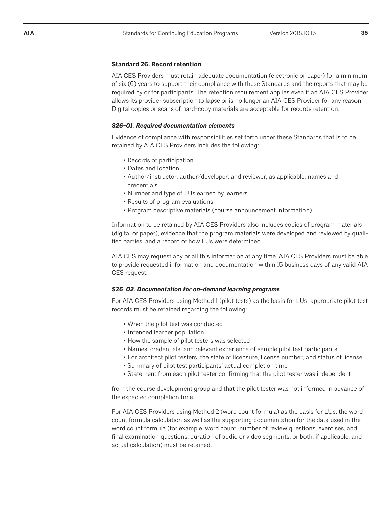#### **Standard 26. Record retention**

AIA CES Providers must retain adequate documentation (electronic or paper) for a minimum of six (6) years to support their compliance with these Standards and the reports that may be required by or for participants. The retention requirement applies even if an AIA CES Provider allows its provider subscription to lapse or is no longer an AIA CES Provider for any reason. Digital copies or scans of hard-copy materials are acceptable for records retention.

#### *S26-01. Required documentation elements*

Evidence of compliance with responsibilities set forth under these Standards that is to be retained by AIA CES Providers includes the following:

- Records of participation
- Dates and location
- Author/instructor, author/developer, and reviewer, as applicable, names and credentials.
- Number and type of LUs earned by learners
- Results of program evaluations
- Program descriptive materials (course announcement information)

Information to be retained by AIA CES Providers also includes copies of program materials (digital or paper), evidence that the program materials were developed and reviewed by qualified parties, and a record of how LUs were determined.

AIA CES may request any or all this information at any time. AIA CES Providers must be able to provide requested information and documentation within 15 business days of any valid AIA CES request.

#### *S26-02. Documentation for on-demand learning programs*

For AIA CES Providers using Method 1 (pilot tests) as the basis for LUs, appropriate pilot test records must be retained regarding the following:

- When the pilot test was conducted
- Intended learner population
- How the sample of pilot testers was selected
- Names, credentials, and relevant experience of sample pilot test participants
- For architect pilot testers, the state of licensure, license number, and status of license
- Summary of pilot test participants' actual completion time
- Statement from each pilot tester confirming that the pilot tester was independent

from the course development group and that the pilot tester was not informed in advance of the expected completion time.

For AIA CES Providers using Method 2 (word count formula) as the basis for LUs, the word count formula calculation as well as the supporting documentation for the data used in the word count formula (for example, word count; number of review questions, exercises, and final examination questions; duration of audio or video segments, or both, if applicable; and actual calculation) must be retained.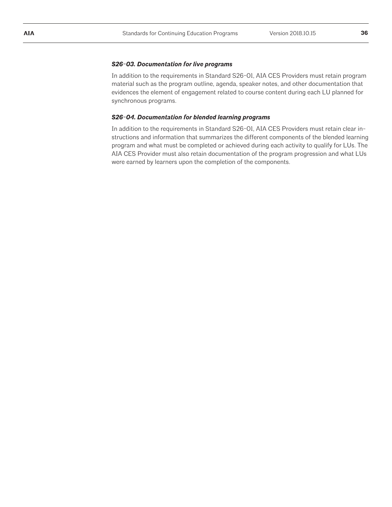#### *S26-03. Documentation for live programs*

In addition to the requirements in Standard S26-01, AIA CES Providers must retain program material such as the program outline, agenda, speaker notes, and other documentation that evidences the element of engagement related to course content during each LU planned for synchronous programs.

#### *S26-04. Documentation for blended learning programs*

In addition to the requirements in Standard S26-01, AIA CES Providers must retain clear instructions and information that summarizes the different components of the blended learning program and what must be completed or achieved during each activity to qualify for LUs. The AIA CES Provider must also retain documentation of the program progression and what LUs were earned by learners upon the completion of the components.